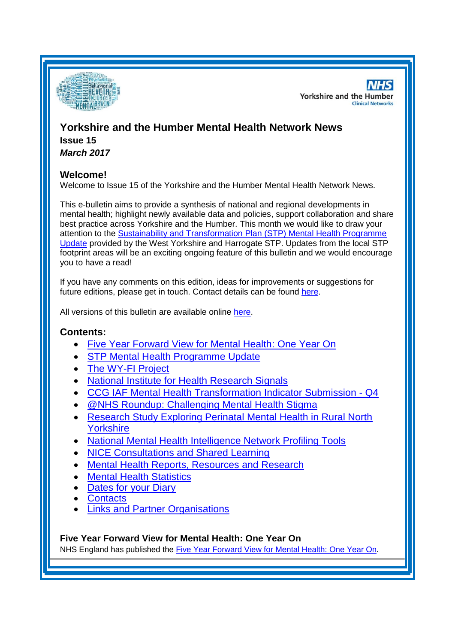

**NHS Yorkshire and the Humber Clinical Networks** 

# **Yorkshire and the Humber Mental Health Network News**

**Issue 15** *March 2017*

## **Welcome!**

Welcome to Issue 15 of the Yorkshire and the Humber Mental Health Network News.

This e-bulletin aims to provide a synthesis of national and regional developments in mental health; highlight newly available data and policies, support collaboration and share best practice across Yorkshire and the Humber. This month we would like to draw your attention to the [Sustainability and Transformation Plan](#page-1-0) (STP) Mental Health Programme [Update](#page-1-0) provided by the West Yorkshire and Harrogate STP. Updates from the local STP footprint areas will be an exciting ongoing feature of this bulletin and we would encourage you to have a read!

If you have any comments on this edition, ideas for improvements or suggestions for future editions, please get in touch. Contact details can be found [here.](#page-6-0)

All versions of this bulletin are available online [here.](http://www.yhscn.nhs.uk/mental-health-clinic/mental-health-network/MH-documents-and-links.php)

# **Contents:**

- [Five Year Forward View for Mental Health:](#page-0-0) One Year On
- [STP Mental Health Programme Update](#page-1-0)
- [The WY-FI Project](#page-2-0)
- **[National Institute for Health Research Signals](#page-2-1)**
- CCG IAF Mental Health [Transformation Indicator Submission -](#page-2-2) Q4
- [@NHS Roundup: Challenging Mental Health Stigma](#page-2-3)
- [Research Study Exploring Perinatal Mental Health in Rural North](#page-3-0)  [Yorkshire](#page-3-0)
- [National Mental Health Intelligence Network Profiling Tools](#page-3-1)
- [NICE Consultations and Shared Learning](#page-3-2)
- [Mental Health Reports, Resources and Research](#page-3-3)
- **[Mental Health Statistics](#page-4-0)**
- [Dates for your](#page-4-1) Diary
- **[Contacts](#page-6-0)**
- [Links and Partner Organisations](#page-6-1)

<span id="page-0-0"></span>**Five Year Forward View for Mental Health: One Year On**

NHS England has published the [Five Year Forward View for Mental Health: One Year On.](https://www.england.nhs.uk/mental-health/taskforce/)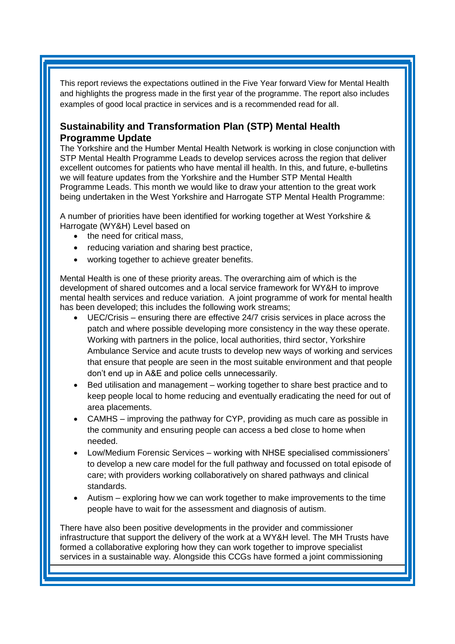This report reviews the expectations outlined in the Five Year forward View for Mental Health and highlights the progress made in the first year of the programme. The report also includes examples of good local practice in services and is a recommended read for all.

# <span id="page-1-0"></span>**Sustainability and Transformation Plan (STP) Mental Health Programme Update**

The Yorkshire and the Humber Mental Health Network is working in close conjunction with STP Mental Health Programme Leads to develop services across the region that deliver excellent outcomes for patients who have mental ill health. In this, and future, e-bulletins we will feature updates from the Yorkshire and the Humber STP Mental Health Programme Leads. This month we would like to draw your attention to the great work being undertaken in the West Yorkshire and Harrogate STP Mental Health Programme:

A number of priorities have been identified for working together at West Yorkshire & Harrogate (WY&H) Level based on

- the need for critical mass,
- reducing variation and sharing best practice,
- working together to achieve greater benefits.

Mental Health is one of these priority areas. The overarching aim of which is the development of shared outcomes and a local service framework for WY&H to improve mental health services and reduce variation. A joint programme of work for mental health has been developed; this includes the following work streams;

- UEC/Crisis ensuring there are effective 24/7 crisis services in place across the patch and where possible developing more consistency in the way these operate. Working with partners in the police, local authorities, third sector, Yorkshire Ambulance Service and acute trusts to develop new ways of working and services that ensure that people are seen in the most suitable environment and that people don't end up in A&E and police cells unnecessarily.
- Bed utilisation and management working together to share best practice and to keep people local to home reducing and eventually eradicating the need for out of area placements.
- CAMHS improving the pathway for CYP, providing as much care as possible in the community and ensuring people can access a bed close to home when needed.
- Low/Medium Forensic Services working with NHSE specialised commissioners' to develop a new care model for the full pathway and focussed on total episode of care; with providers working collaboratively on shared pathways and clinical standards.
- Autism exploring how we can work together to make improvements to the time people have to wait for the assessment and diagnosis of autism.

There have also been positive developments in the provider and commissioner infrastructure that support the delivery of the work at a WY&H level. The MH Trusts have formed a collaborative exploring how they can work together to improve specialist services in a sustainable way. Alongside this CCGs have formed a joint commissioning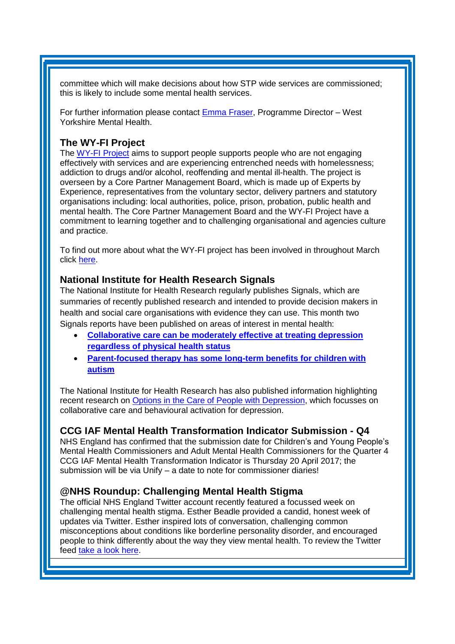committee which will make decisions about how STP wide services are commissioned; this is likely to include some mental health services.

For further information please contact [Emma Fraser,](mailto:emma.fraser@nhs.net) Programme Director – West Yorkshire Mental Health.

# <span id="page-2-0"></span>**The WY-FI Project**

The [WY-FI Project](https://wy-fi.org.uk/about/) aims to support people supports people who are not engaging effectively with services and are experiencing entrenched needs with homelessness; addiction to drugs and/or alcohol, reoffending and mental ill-health. The project is overseen by a Core Partner Management Board, which is made up of Experts by Experience, representatives from the voluntary sector, delivery partners and statutory organisations including: local authorities, police, prison, probation, public health and mental health. The Core Partner Management Board and the WY-FI Project have a commitment to learning together and to challenging organisational and agencies culture and practice.

To find out more about what the WY-FI project has been involved in throughout March click [here.](https://wyfiorguk.files.wordpress.com/2016/10/wy-fi-project-newsletter-march-2017.pdf)

#### <span id="page-2-1"></span>**National Institute for Health Research Signals**

The National Institute for Health Research regularly publishes Signals, which are summaries of recently published research and intended to provide decision makers in health and social care organisations with evidence they can use. This month two Signals reports have been published on areas of interest in mental health:

- **[Collaborative care can be moderately effective at treating depression](https://discover.dc.nihr.ac.uk/portal/article/4000589/collaborative-care-can-be-moderately-effective-at-treating-depression-regardless-of-physical-health-status)  [regardless of physical health status](https://discover.dc.nihr.ac.uk/portal/article/4000589/collaborative-care-can-be-moderately-effective-at-treating-depression-regardless-of-physical-health-status)**
- **[Parent-focused therapy has some long-term benefits for children with](https://discover.dc.nihr.ac.uk/portal/article/4000585/parent-focused-therapy-has-some-long-term-benefits-for-children-with-autism)  [autism](https://discover.dc.nihr.ac.uk/portal/article/4000585/parent-focused-therapy-has-some-long-term-benefits-for-children-with-autism)**

The National Institute for Health Research has also published information highlighting recent research on [Options in the Care of People with Depression,](https://discover.dc.nihr.ac.uk/portal/article/4000309/options-in-the-care-of-people-with-depression) which focusses on collaborative care and behavioural activation for depression.

## <span id="page-2-2"></span>**CCG IAF Mental Health Transformation Indicator Submission - Q4**

NHS England has confirmed that the submission date for Children's and Young People's Mental Health Commissioners and Adult Mental Health Commissioners for the Quarter 4 CCG IAF Mental Health Transformation Indicator is Thursday 20 April 2017; the submission will be via Unify – a date to note for commissioner diaries!

## <span id="page-2-3"></span>**@NHS Roundup: Challenging Mental Health Stigma**

The official NHS England Twitter account recently featured a focussed week on challenging mental health stigma. Esther Beadle provided a candid, honest week of updates via Twitter. Esther inspired lots of conversation, challenging common misconceptions about conditions like borderline personality disorder, and encouraged people to think differently about the way they view mental health. To review the Twitter feed [take a look](http://internalcommunications.cmail20.com/t/d-l-hdltjrt-xyuhujddy-k/) here.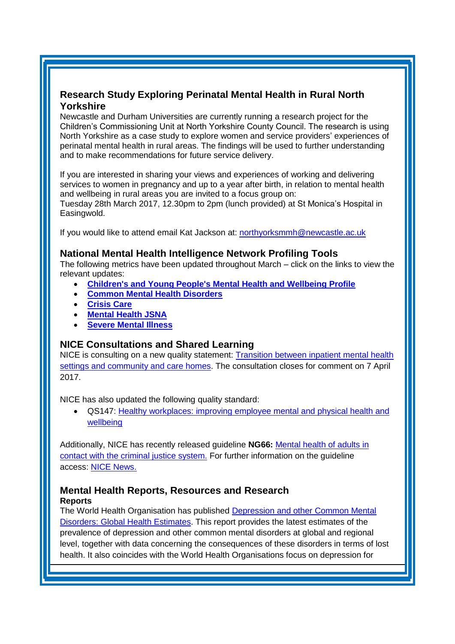# <span id="page-3-0"></span>**Research Study Exploring Perinatal Mental Health in Rural North Yorkshire**

Newcastle and Durham Universities are currently running a research project for the Children's Commissioning Unit at North Yorkshire County Council. The research is using North Yorkshire as a case study to explore women and service providers' experiences of perinatal mental health in rural areas. The findings will be used to further understanding and to make recommendations for future service delivery.

If you are interested in sharing your views and experiences of working and delivering services to women in pregnancy and up to a year after birth, in relation to mental health and wellbeing in rural areas you are invited to a focus group on:

Tuesday 28th March 2017, 12.30pm to 2pm (lunch provided) at St Monica's Hospital in Easingwold.

If you would like to attend email Kat Jackson at: [northyorksmmh@newcastle.ac.uk](mailto:northyorksmmh@newcastle.ac.uk)

## <span id="page-3-1"></span>**National Mental Health Intelligence Network Profiling Tools**

The following metrics have been updated throughout March – click on the links to view the relevant updates:

- **[Children's and Young People's Mental Health and Wellbeing Profile](http://fingertips.phe.org.uk/profile-group/mental-health/profile/cypmh)**
- **[Common Mental Health Disorders](https://fingertips.phe.org.uk/profile-group/mental-health/profile/common-mental-disorders)**
- **[Crisis Care](https://fingertips.phe.org.uk/profile-group/mental-health/profile/crisis-care)**
- **[Mental Health JSNA](https://fingertips.phe.org.uk/profile-group/mental-health/profile/MH-JSNA)**
- **[Severe Mental Illness](https://fingertips.phe.org.uk/profile-group/mental-health/profile/severe-mental-illness)**

## <span id="page-3-2"></span>**NICE Consultations and Shared Learning**

NICE is consulting on a new quality statement: **Transition between inpatient mental health** [settings and community and care homes.](https://www.nice.org.uk/guidance/indevelopment/gid-qs10024/consultation/html-content-2) The consultation closes for comment on 7 April 2017.

NICE has also updated the following quality standard:

 QS147: [Healthy workplaces: improving employee mental and physical health and](https://www.nice.org.uk/guidance/qs147)  [wellbeing](https://www.nice.org.uk/guidance/qs147)

Additionally, NICE has recently released guideline **NG66:** [Mental health of adults in](https://www.nice.org.uk/guidance/ng66)  [contact with the criminal justice system.](https://www.nice.org.uk/guidance/ng66) For further information on the guideline access: [NICE News.](https://www.nice.org.uk/news/article/people-in-contact-with-the-criminal-justice-system-should-undergo-mental-health-checks-every-year-says-nice)

#### <span id="page-3-3"></span>**Mental Health Reports, Resources and Research Reports**

The World Health Organisation has published [Depression and other Common Mental](http://www.who.int/mental_health/management/depression/prevalence_global_health_estimates/en/)  [Disorders: Global Health Estimates.](http://www.who.int/mental_health/management/depression/prevalence_global_health_estimates/en/) This report provides the latest estimates of the prevalence of depression and other common mental disorders at global and regional level, together with data concerning the consequences of these disorders in terms of lost health. It also coincides with the World Health Organisations focus on depression for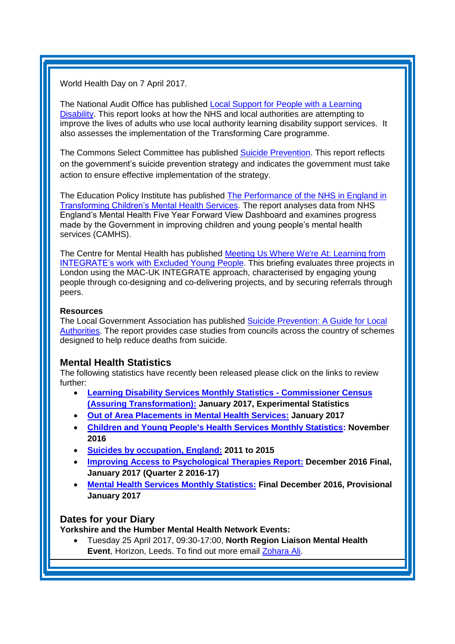World Health Day on 7 April 2017.

The National Audit Office has published [Local Support for People with a Learning](https://www.nao.org.uk/report/local-support-for-people-with-a-learning-disability/)  [Disability.](https://www.nao.org.uk/report/local-support-for-people-with-a-learning-disability/) This report looks at how the NHS and local authorities are attempting to improve the lives of adults who use local authority learning disability support services. It also assesses the implementation of the Transforming Care programme.

The Commons Select Committee has published [Suicide Prevention.](http://www.parliament.uk/business/committees/committees-a-z/commons-select/health-committee/news-parliament-20151/suicide-prevention-report-published-16-171/) This report reflects on the government's suicide prevention strategy and indicates the government must take action to ensure effective implementation of the strategy.

The Education Policy Institute has published [The Performance of the NHS in England in](https://epi.org.uk/report/nhs-performance-childrens-mental-health/)  [Transforming Children's Mental Health Services.](https://epi.org.uk/report/nhs-performance-childrens-mental-health/) The report analyses data from NHS England's Mental Health Five Year Forward View Dashboard and examines progress made by the Government in improving children and young people's mental health services (CAMHS).

The Centre for Mental Health has published [Meeting Us Where We're At: Learning from](https://www.centreformentalhealth.org.uk/meeting-us-where-were-at)  [INTEGRATE's work with Excluded Young People.](https://www.centreformentalhealth.org.uk/meeting-us-where-were-at) This briefing evaluates three projects in London using the MAC-UK INTEGRATE approach, characterised by engaging young people through co-designing and co-delivering projects, and by securing referrals through peers.

#### **Resources**

The Local Government Association has published **Suicide Prevention: A Guide for Local** [Authorities.](http://www.local.gov.uk/web/guest/publications/-/journal_content/56/10180/8258652/PUBLICATION) The report provides case studies from councils across the country of schemes designed to help reduce deaths from suicide.

#### <span id="page-4-0"></span>**Mental Health Statistics**

The following statistics have recently been released please click on the links to review further:

- **[Learning Disability Services Monthly Statistics -](https://www.gov.uk/government/statistics/learning-disability-services-monthly-statistics-commissioner-census-assuring-transformation-jan-2017) Commissioner Census [\(Assuring Transformation\):](https://www.gov.uk/government/statistics/learning-disability-services-monthly-statistics-commissioner-census-assuring-transformation-jan-2017) January 2017, Experimental Statistics**
- **[Out of Area Placements in Mental Health Services:](https://www.gov.uk/government/statistics/out-of-area-placements-in-mental-health-services-jan-2017) January 2017**
- **[Children and Young People's Health Services Monthly Statistics:](http://www.content.digital.nhs.uk/catalogue/PUB23589) November 2016**
- **[Suicides by occupation, England:](https://www.gov.uk/government/statistics/suicides-by-occupation-england-2011-to-2015) 2011 to 2015**
- **[Improving Access to Psychological Therapies Report:](http://www.content.digital.nhs.uk/catalogue/PUB23628) December 2016 Final, January 2017 (Quarter 2 2016-17)**
- **[Mental Health Services Monthly Statistics:](http://www.content.digital.nhs.uk/catalogue/PUB23650) Final December 2016, Provisional January 2017**

# <span id="page-4-1"></span>**Dates for your Diary**

**Yorkshire and the Humber Mental Health Network Events:**

 Tuesday 25 April 2017, 09:30-17:00, **North Region Liaison Mental Health Event**, Horizon, Leeds. To find out more email [Zohara Ali.](mailto:zohara.ali@nhs.net?subject=North%20Region%20LMH%20Event)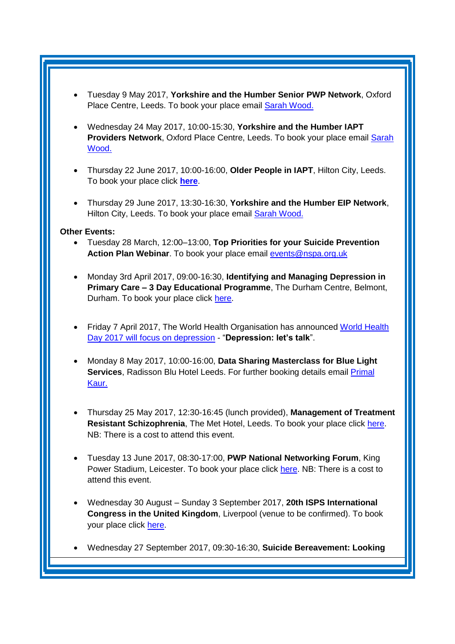- Tuesday 9 May 2017, **Yorkshire and the Humber Senior PWP Network**, Oxford Place Centre, Leeds. To book your place email [Sarah Wood.](mailto:sarah.wood1@nhs.net?subject=IAPT%20Providers%20Network)
- Wednesday 24 May 2017, 10:00-15:30, **Yorkshire and the Humber IAPT Providers Network**, Oxford Place Centre, Leeds. To book your place email [Sarah](mailto:sarah.wood1@nhs.net?subject=IAPT%20Providers%20Network)  [Wood.](mailto:sarah.wood1@nhs.net?subject=IAPT%20Providers%20Network)
- Thursday 22 June 2017, 10:00-16:00, **Older People in IAPT**, Hilton City, Leeds. To book your place click **[here](https://www.eventbrite.co.uk/e/older-people-in-iapt-tickets-32814442882)**.
- Thursday 29 June 2017, 13:30-16:30, **Yorkshire and the Humber EIP Network**, Hilton City, Leeds. To book your place email [Sarah Wood.](mailto:sarah.wood1@nhs.net?subject=IAPT%20Providers%20Network)

#### **Other Events:**

- Tuesday 28 March, 12:00–13:00, **Top Priorities for your Suicide Prevention Action Plan Webinar**. To book your place email [events@nspa.org.uk](mailto:events@nspa.org.uk)
- Monday 3rd April 2017, 09:00-16:30, **Identifying and Managing Depression in Primary Care – 3 Day Educational Programme**, The Durham Centre, Belmont, Durham. To book your place click [here.](https://www.eventbrite.co.uk/e/three-day-educational-programme-managing-and-identifying-depression-in-primary-care-registration-31925984479)
- Friday 7 April 2017, The World Health Organisation has announced [World Health](http://www.who.int/campaigns/world-health-day/2017/en/)  [Day 2017 will focus on depression](http://www.who.int/campaigns/world-health-day/2017/en/) - "**Depression: let's talk**".
- Monday 8 May 2017, 10:00-16:00, **Data Sharing Masterclass for Blue Light Services**, Radisson Blu Hotel Leeds. For further booking details email **Primal** [Kaur.](mailto:Primal.Kaur@phe.gov.uk)
- Thursday 25 May 2017, 12:30-16:45 (lunch provided), **Management of Treatment Resistant Schizophrenia**, The Met Hotel, Leeds. To book your place click [here.](http://www.andrewsimscentre.nhs.uk/events/650/management-of-treatment-resistant-schizophrenia-/) NB: There is a cost to attend this event.
- Tuesday 13 June 2017, 08:30-17:00, **PWP National Networking Forum**, King Power Stadium, Leicester. To book your place click [here.](http://www.iapt-nnf.co.uk/Home/ViewEvent/62?utm_source=SBK%20Healthcare&utm_medium=email&utm_campaign=7812213_PWP%202017%20call%20for%20speakers&dm_i=1SB0,4NFXX,NDG0NR,HCBR9,1#agenda) NB: There is a cost to attend this event.
- Wednesday 30 August Sunday 3 September 2017, **20th ISPS International Congress in the United Kingdom**, Liverpool (venue to be confirmed). To book your place click [here.](http://www.isps2017uk.org/)
- Wednesday 27 September 2017, 09:30-16:30, **Suicide Bereavement: Looking**